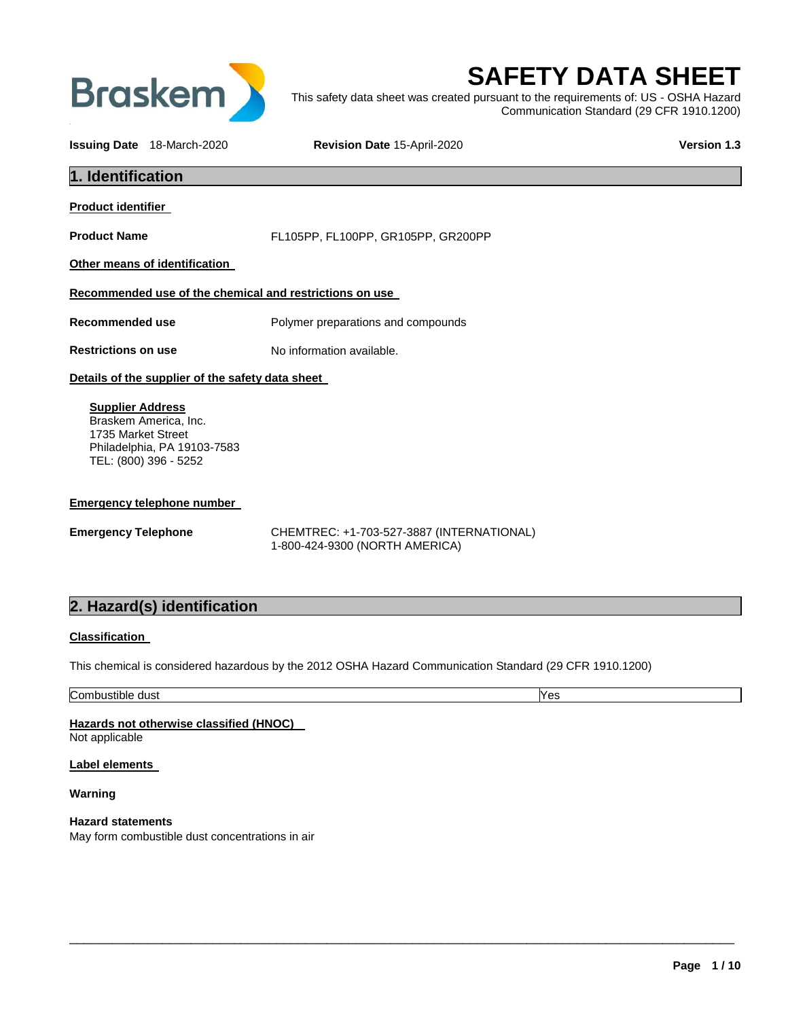

# **SAFETY DATA SHEET**

This safety data sheet was created pursuant to the requirements of: US - OSHA Hazard Communication Standard (29 CFR 1910.1200)

**Issuing Date** 18-March-2020 **Revision Date** 15-April-2020 **Version 1.3**

| 1. Identification                                                                                                              |                                                                             |  |
|--------------------------------------------------------------------------------------------------------------------------------|-----------------------------------------------------------------------------|--|
| Product identifier                                                                                                             |                                                                             |  |
| <b>Product Name</b>                                                                                                            | FL105PP, FL100PP, GR105PP, GR200PP                                          |  |
| Other means of identification                                                                                                  |                                                                             |  |
| Recommended use of the chemical and restrictions on use                                                                        |                                                                             |  |
| <b>Recommended use</b>                                                                                                         | Polymer preparations and compounds                                          |  |
| <b>Restrictions on use</b>                                                                                                     | No information available.                                                   |  |
| Details of the supplier of the safety data sheet                                                                               |                                                                             |  |
| <b>Supplier Address</b><br>Braskem America, Inc.<br>1735 Market Street<br>Philadelphia, PA 19103-7583<br>TEL: (800) 396 - 5252 |                                                                             |  |
| <b>Emergency telephone number</b>                                                                                              |                                                                             |  |
| <b>Emergency Telephone</b>                                                                                                     | CHEMTREC: +1-703-527-3887 (INTERNATIONAL)<br>1-800-424-9300 (NORTH AMERICA) |  |
| 2. Hazard(s) identification                                                                                                    |                                                                             |  |
| <b>Classification</b>                                                                                                          |                                                                             |  |
| This chemical is considered hazardous by the 2012 OSHA Hazard Communication Standard (29 CFR 1910.1200)                        |                                                                             |  |
| Combustible dust                                                                                                               | Yes                                                                         |  |
| Hazards not otherwise classified (HNOC)<br>Not applicable                                                                      |                                                                             |  |

\_\_\_\_\_\_\_\_\_\_\_\_\_\_\_\_\_\_\_\_\_\_\_\_\_\_\_\_\_\_\_\_\_\_\_\_\_\_\_\_\_\_\_\_\_\_\_\_\_\_\_\_\_\_\_\_\_\_\_\_\_\_\_\_\_\_\_\_\_\_\_\_\_\_\_\_\_\_\_\_\_\_\_\_\_\_\_\_\_\_\_\_\_

**Label elements** 

**Warning** 

**Hazard statements**  May form combustible dust concentrations in air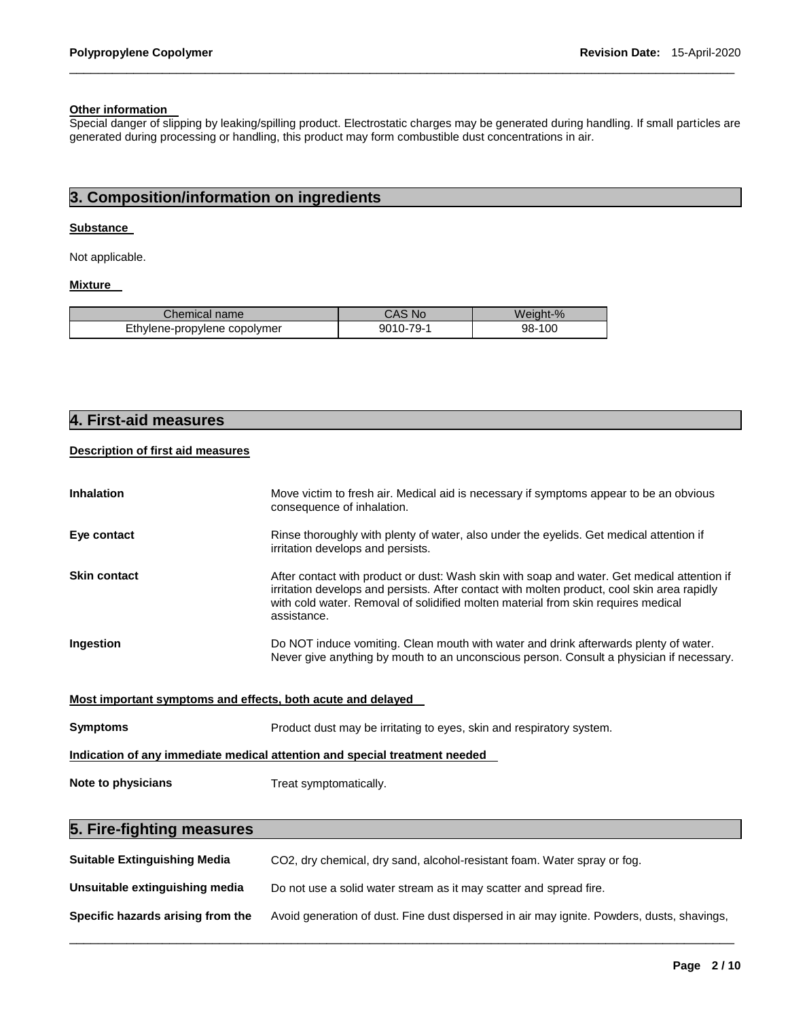### **Other information**

Special danger of slipping by leaking/spilling product. Electrostatic charges may be generated during handling. If small particles are generated during processing or handling, this product may form combustible dust concentrations in air.

\_\_\_\_\_\_\_\_\_\_\_\_\_\_\_\_\_\_\_\_\_\_\_\_\_\_\_\_\_\_\_\_\_\_\_\_\_\_\_\_\_\_\_\_\_\_\_\_\_\_\_\_\_\_\_\_\_\_\_\_\_\_\_\_\_\_\_\_\_\_\_\_\_\_\_\_\_\_\_\_\_\_\_\_\_\_\_\_\_\_\_\_\_

# **3. Composition/information on ingredients**

### **Substance**

Not applicable.

# **Mixture**

| ∴hemical name                | CAS No        | Weiaht-% |
|------------------------------|---------------|----------|
| Ethylene-propylene copolymer | $9010 - 79 -$ | 98-100   |

# **4. First-aid measures**

## **Description of first aid measures**

| <b>Inhalation</b>                                                          | Move victim to fresh air. Medical aid is necessary if symptoms appear to be an obvious<br>consequence of inhalation.                                                                                                                                                                           |  |
|----------------------------------------------------------------------------|------------------------------------------------------------------------------------------------------------------------------------------------------------------------------------------------------------------------------------------------------------------------------------------------|--|
| Eye contact                                                                | Rinse thoroughly with plenty of water, also under the eyelids. Get medical attention if<br>irritation develops and persists.                                                                                                                                                                   |  |
| <b>Skin contact</b>                                                        | After contact with product or dust: Wash skin with soap and water. Get medical attention if<br>irritation develops and persists. After contact with molten product, cool skin area rapidly<br>with cold water. Removal of solidified molten material from skin requires medical<br>assistance. |  |
| Ingestion                                                                  | Do NOT induce vomiting. Clean mouth with water and drink afterwards plenty of water.<br>Never give anything by mouth to an unconscious person. Consult a physician if necessary.                                                                                                               |  |
| Most important symptoms and effects, both acute and delayed                |                                                                                                                                                                                                                                                                                                |  |
| <b>Symptoms</b>                                                            | Product dust may be irritating to eyes, skin and respiratory system.                                                                                                                                                                                                                           |  |
| Indication of any immediate medical attention and special treatment needed |                                                                                                                                                                                                                                                                                                |  |
| Note to physicians                                                         | Treat symptomatically.                                                                                                                                                                                                                                                                         |  |

# **5. Fire-fighting measures**

| <b>Suitable Extinguishing Media</b> | CO2, dry chemical, dry sand, alcohol-resistant foam. Water spray or fog.                   |
|-------------------------------------|--------------------------------------------------------------------------------------------|
| Unsuitable extinguishing media      | Do not use a solid water stream as it may scatter and spread fire.                         |
| Specific hazards arising from the   | Avoid generation of dust. Fine dust dispersed in air may ignite. Powders, dusts, shavings, |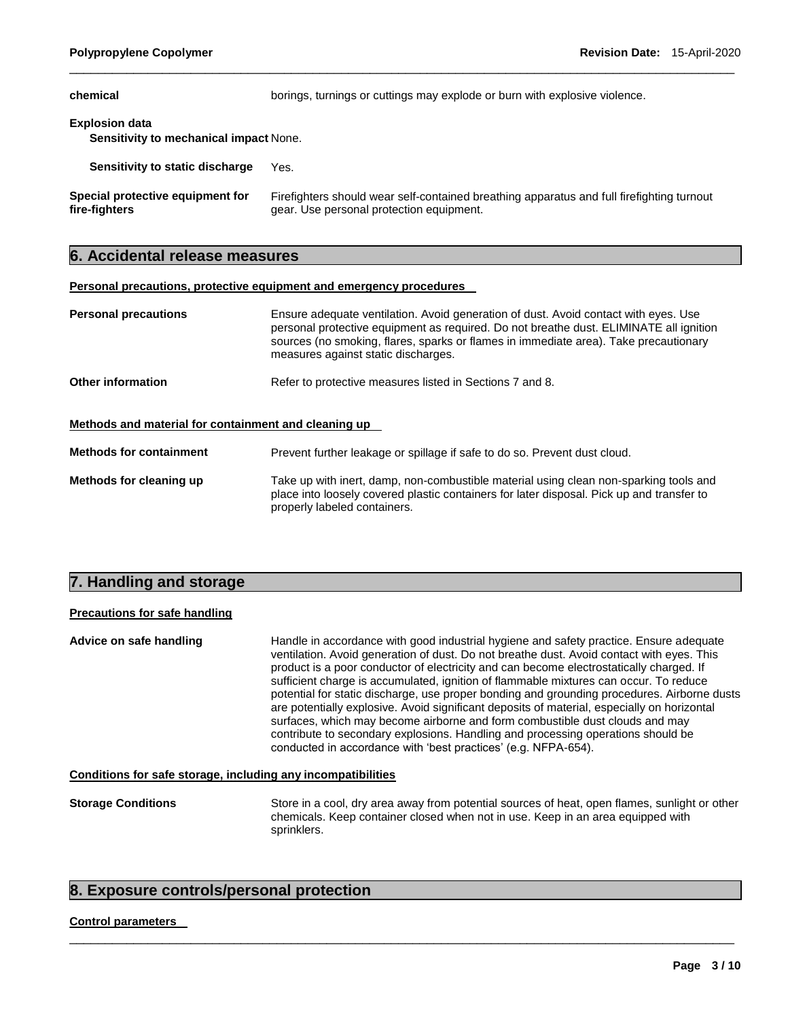| chemical                                                               | borings, turnings or cuttings may explode or burn with explosive violence.                                                            |  |
|------------------------------------------------------------------------|---------------------------------------------------------------------------------------------------------------------------------------|--|
| <b>Explosion data</b><br><b>Sensitivity to mechanical impact None.</b> |                                                                                                                                       |  |
| Sensitivity to static discharge                                        | Yes.                                                                                                                                  |  |
| Special protective equipment for<br>fire-fighters                      | Firefighters should wear self-contained breathing apparatus and full firefighting turnout<br>gear. Use personal protection equipment. |  |

\_\_\_\_\_\_\_\_\_\_\_\_\_\_\_\_\_\_\_\_\_\_\_\_\_\_\_\_\_\_\_\_\_\_\_\_\_\_\_\_\_\_\_\_\_\_\_\_\_\_\_\_\_\_\_\_\_\_\_\_\_\_\_\_\_\_\_\_\_\_\_\_\_\_\_\_\_\_\_\_\_\_\_\_\_\_\_\_\_\_\_\_\_

# **6. Accidental release measures**

### **Personal precautions, protective equipment and emergency procedures**

| <b>Personal precautions</b>                          | Ensure adequate ventilation. Avoid generation of dust. Avoid contact with eyes. Use<br>personal protective equipment as required. Do not breathe dust. ELIMINATE all ignition<br>sources (no smoking, flares, sparks or flames in immediate area). Take precautionary<br>measures against static discharges. |  |  |
|------------------------------------------------------|--------------------------------------------------------------------------------------------------------------------------------------------------------------------------------------------------------------------------------------------------------------------------------------------------------------|--|--|
| Other information                                    | Refer to protective measures listed in Sections 7 and 8.                                                                                                                                                                                                                                                     |  |  |
| Methods and material for containment and cleaning up |                                                                                                                                                                                                                                                                                                              |  |  |
| <b>Methods for containment</b>                       | Prevent further leakage or spillage if safe to do so. Prevent dust cloud.                                                                                                                                                                                                                                    |  |  |
| Methods for cleaning up                              | Take up with inert, damp, non-combustible material using clean non-sparking tools and<br>place into loosely covered plastic containers for later disposal. Pick up and transfer to<br>properly labeled containers.                                                                                           |  |  |

# **7. Handling and storage**

### **Precautions for safe handling**

**Advice on safe handling** Handle in accordance with good industrial hygiene and safety practice. Ensure adequate ventilation. Avoid generation of dust. Do not breathe dust. Avoid contact with eyes. This product is a poor conductor of electricity and can become electrostatically charged. If sufficient charge is accumulated, ignition of flammable mixtures can occur. To reduce potential for static discharge, use proper bonding and grounding procedures. Airborne dusts are potentially explosive. Avoid significant deposits of material, especially on horizontal surfaces, which may become airborne and form combustible dust clouds and may contribute to secondary explosions. Handling and processing operations should be conducted in accordance with 'best practices' (e.g. NFPA-654).

### **Conditions for safe storage, including any incompatibilities**

**Storage Conditions** Store in a cool, dry area away from potential sources of heat, open flames, sunlight or other chemicals. Keep container closed when not in use. Keep in an area equipped with sprinklers.

\_\_\_\_\_\_\_\_\_\_\_\_\_\_\_\_\_\_\_\_\_\_\_\_\_\_\_\_\_\_\_\_\_\_\_\_\_\_\_\_\_\_\_\_\_\_\_\_\_\_\_\_\_\_\_\_\_\_\_\_\_\_\_\_\_\_\_\_\_\_\_\_\_\_\_\_\_\_\_\_\_\_\_\_\_\_\_\_\_\_\_\_\_

### **8. Exposure controls/personal protection**

#### **Control parameters**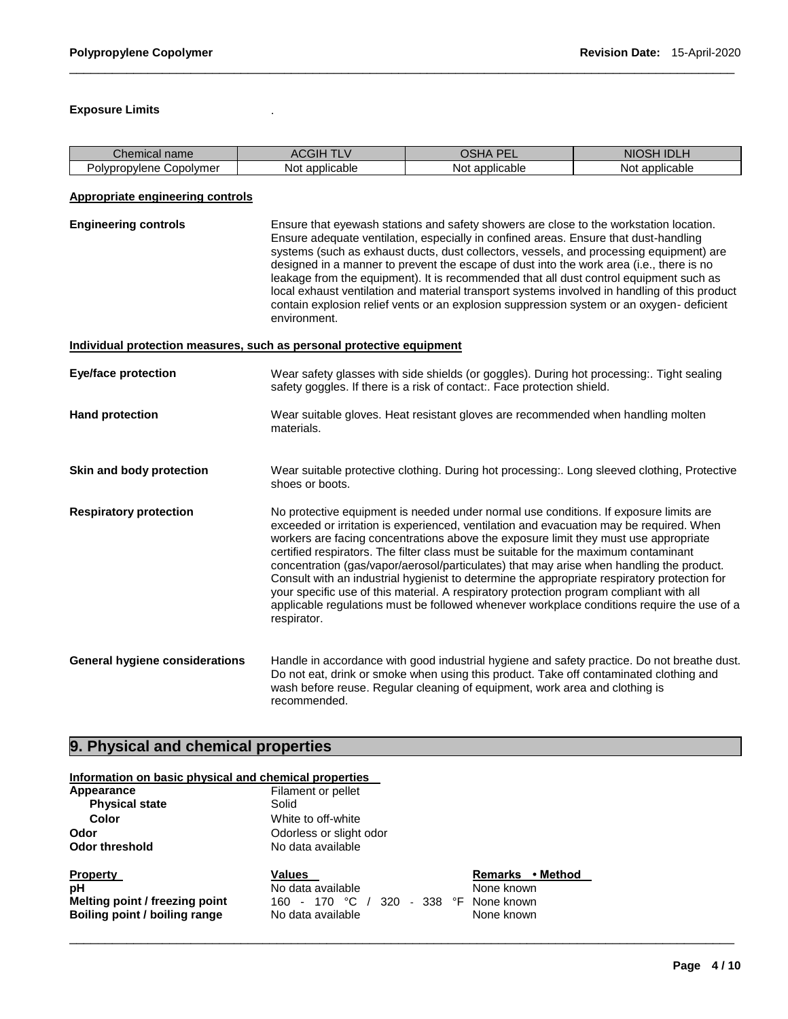### **Exposure Limits** .

| name<br>∠hemical                  |                       | --<br>--               | N <sub>I</sub>    |
|-----------------------------------|-----------------------|------------------------|-------------------|
| こopolvmer<br>opvlene<br>olvpropy' | <br>applicable<br>Not | <br>applicable<br>Not. | applicable<br>NOt |

\_\_\_\_\_\_\_\_\_\_\_\_\_\_\_\_\_\_\_\_\_\_\_\_\_\_\_\_\_\_\_\_\_\_\_\_\_\_\_\_\_\_\_\_\_\_\_\_\_\_\_\_\_\_\_\_\_\_\_\_\_\_\_\_\_\_\_\_\_\_\_\_\_\_\_\_\_\_\_\_\_\_\_\_\_\_\_\_\_\_\_\_\_

### **Appropriate engineering controls**

**Engineering controls** Ensure that eyewash stations and safety showers are close to the workstation location. Ensure adequate ventilation, especially in confined areas. Ensure that dust-handling systems (such as exhaust ducts, dust collectors, vessels, and processing equipment) are designed in a manner to prevent the escape of dust into the work area (i.e., there is no leakage from the equipment). It is recommended that all dust control equipment such as local exhaust ventilation and material transport systems involved in handling of this product contain explosion relief vents or an explosion suppression system or an oxygen- deficient environment.

| Individual protection measures, such as personal protective equipment |                                                                                                                                                                                                                                                                                                                                                                                                                                                                                                                                                                                                                                                                                                                                                                      |  |
|-----------------------------------------------------------------------|----------------------------------------------------------------------------------------------------------------------------------------------------------------------------------------------------------------------------------------------------------------------------------------------------------------------------------------------------------------------------------------------------------------------------------------------------------------------------------------------------------------------------------------------------------------------------------------------------------------------------------------------------------------------------------------------------------------------------------------------------------------------|--|
| <b>Eye/face protection</b>                                            | Wear safety glasses with side shields (or goggles). During hot processing: Tight sealing<br>safety goggles. If there is a risk of contact:. Face protection shield.                                                                                                                                                                                                                                                                                                                                                                                                                                                                                                                                                                                                  |  |
| <b>Hand protection</b>                                                | Wear suitable gloves. Heat resistant gloves are recommended when handling molten<br>materials.                                                                                                                                                                                                                                                                                                                                                                                                                                                                                                                                                                                                                                                                       |  |
| Skin and body protection                                              | Wear suitable protective clothing. During hot processing:. Long sleeved clothing, Protective<br>shoes or boots.                                                                                                                                                                                                                                                                                                                                                                                                                                                                                                                                                                                                                                                      |  |
| <b>Respiratory protection</b>                                         | No protective equipment is needed under normal use conditions. If exposure limits are<br>exceeded or irritation is experienced, ventilation and evacuation may be required. When<br>workers are facing concentrations above the exposure limit they must use appropriate<br>certified respirators. The filter class must be suitable for the maximum contaminant<br>concentration (gas/vapor/aerosol/particulates) that may arise when handling the product.<br>Consult with an industrial hygienist to determine the appropriate respiratory protection for<br>your specific use of this material. A respiratory protection program compliant with all<br>applicable regulations must be followed whenever workplace conditions require the use of a<br>respirator. |  |
| <b>General hygiene considerations</b>                                 | Handle in accordance with good industrial hygiene and safety practice. Do not breathe dust.<br>Do not eat, drink or smoke when using this product. Take off contaminated clothing and<br>wash before reuse. Regular cleaning of equipment, work area and clothing is                                                                                                                                                                                                                                                                                                                                                                                                                                                                                                 |  |

# **9. Physical and chemical properties**

| Information on basic physical and chemical properties                                    |                                                                                                                |                                                            |  |
|------------------------------------------------------------------------------------------|----------------------------------------------------------------------------------------------------------------|------------------------------------------------------------|--|
| Appearance<br><b>Physical state</b><br>Color                                             | Filament or pellet<br>Solid<br>White to off-white                                                              |                                                            |  |
| Odor<br><b>Odor threshold</b>                                                            | Odorless or slight odor<br>No data available                                                                   |                                                            |  |
| <b>Property</b><br>рH<br>Melting point / freezing point<br>Boiling point / boiling range | <b>Values</b><br>No data available<br>- 338 °F<br>170 °C<br>320<br>160.<br>$\blacksquare$<br>No data available | Remarks • Method<br>None known<br>None known<br>None known |  |

recommended.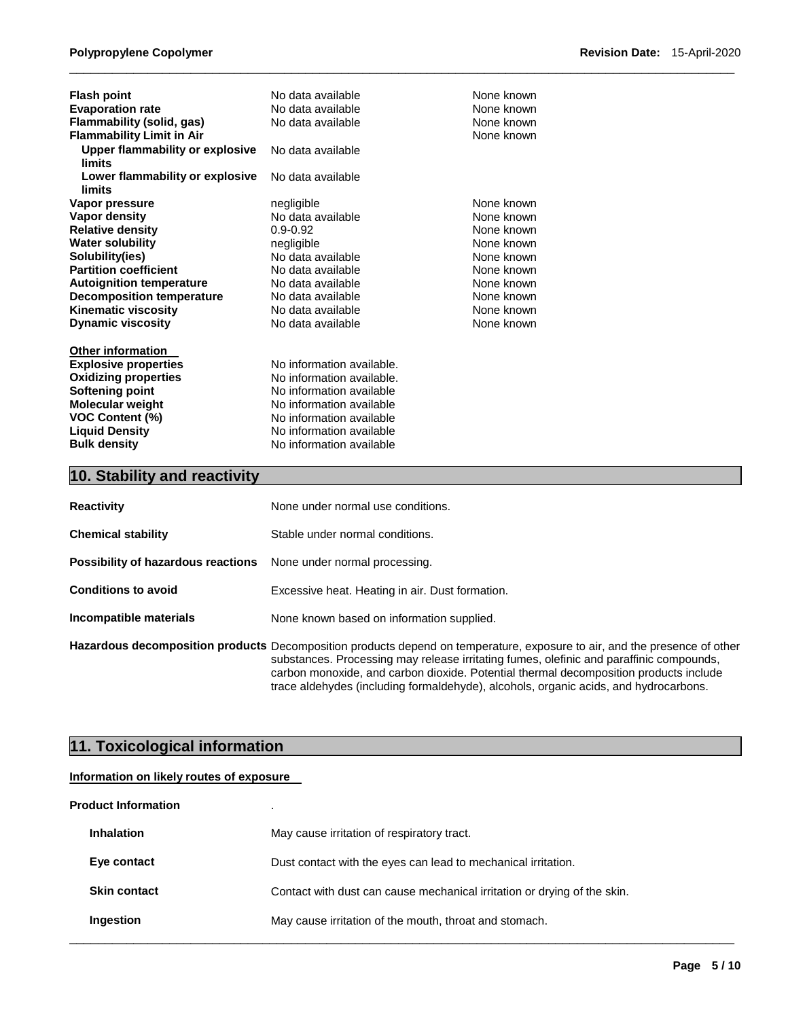| <b>Flash point</b>                     | No data available         | None known |
|----------------------------------------|---------------------------|------------|
| <b>Evaporation rate</b>                | No data available         | None known |
| Flammability (solid, gas)              | No data available         | None known |
| <b>Flammability Limit in Air</b>       |                           | None known |
| <b>Upper flammability or explosive</b> | No data available         |            |
| limits                                 |                           |            |
| Lower flammability or explosive        | No data available         |            |
| limits                                 |                           |            |
| Vapor pressure                         | negligible                | None known |
| Vapor density                          | No data available         | None known |
| <b>Relative density</b>                | $0.9 - 0.92$              | None known |
| <b>Water solubility</b>                | negligible                | None known |
| Solubility(ies)                        | No data available         | None known |
| <b>Partition coefficient</b>           | No data available         | None known |
| <b>Autoignition temperature</b>        | No data available         | None known |
| <b>Decomposition temperature</b>       | No data available         | None known |
| <b>Kinematic viscosity</b>             | No data available         | None known |
| <b>Dynamic viscosity</b>               | No data available         | None known |
|                                        |                           |            |
| <b>Other information</b>               |                           |            |
| <b>Explosive properties</b>            | No information available. |            |
| <b>Oxidizing properties</b>            | No information available. |            |
| <b>Softening point</b>                 | No information available  |            |
| Molecular weight                       | No information available  |            |
| <b>VOC Content (%)</b>                 | No information available  |            |
| <b>Liquid Density</b>                  | No information available  |            |
| <b>Bulk density</b>                    | No information available  |            |

# **10. Stability and reactivity**

| <b>Reactivity</b>                  | None under normal use conditions.                                                                                                                                                                                                                                                                                                                                                                     |
|------------------------------------|-------------------------------------------------------------------------------------------------------------------------------------------------------------------------------------------------------------------------------------------------------------------------------------------------------------------------------------------------------------------------------------------------------|
| <b>Chemical stability</b>          | Stable under normal conditions.                                                                                                                                                                                                                                                                                                                                                                       |
| Possibility of hazardous reactions | None under normal processing.                                                                                                                                                                                                                                                                                                                                                                         |
| <b>Conditions to avoid</b>         | Excessive heat. Heating in air. Dust formation.                                                                                                                                                                                                                                                                                                                                                       |
| Incompatible materials             | None known based on information supplied.                                                                                                                                                                                                                                                                                                                                                             |
|                                    | Hazardous decomposition products Decomposition products depend on temperature, exposure to air, and the presence of other<br>substances. Processing may release irritating fumes, olefinic and paraffinic compounds,<br>carbon monoxide, and carbon dioxide. Potential thermal decomposition products include<br>trace aldehydes (including formaldehyde), alcohols, organic acids, and hydrocarbons. |

\_\_\_\_\_\_\_\_\_\_\_\_\_\_\_\_\_\_\_\_\_\_\_\_\_\_\_\_\_\_\_\_\_\_\_\_\_\_\_\_\_\_\_\_\_\_\_\_\_\_\_\_\_\_\_\_\_\_\_\_\_\_\_\_\_\_\_\_\_\_\_\_\_\_\_\_\_\_\_\_\_\_\_\_\_\_\_\_\_\_\_\_\_

# **11. Toxicological information**

### **Information on likely routes of exposure**

| <b>Product Information</b> |                                                                          |
|----------------------------|--------------------------------------------------------------------------|
| <b>Inhalation</b>          | May cause irritation of respiratory tract.                               |
| Eye contact                | Dust contact with the eyes can lead to mechanical irritation.            |
| <b>Skin contact</b>        | Contact with dust can cause mechanical irritation or drying of the skin. |
| Ingestion                  | May cause irritation of the mouth, throat and stomach.                   |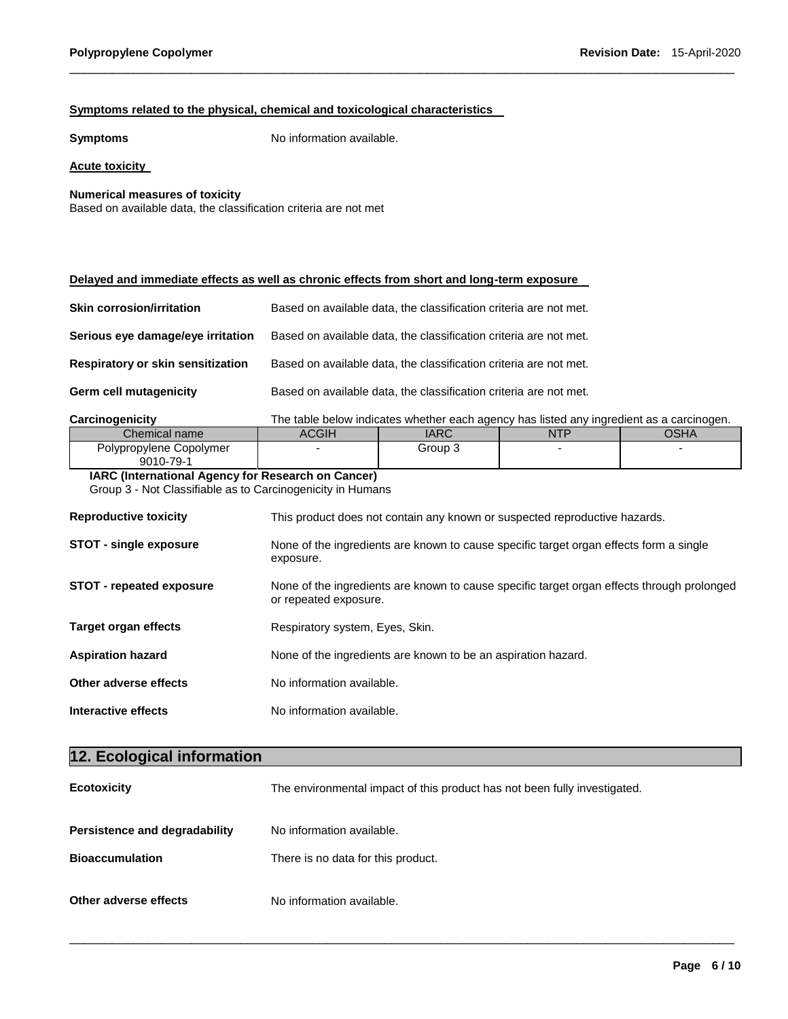### **Symptoms related to the physical, chemical and toxicological characteristics**

**Symptoms** No information available.

### **Acute toxicity**

**Numerical measures of toxicity**

Based on available data, the classification criteria are not met

### **Delayed and immediate effects as well as chronic effects from short and long-term exposure**

| Skin corrosion/irritation         | Based on available data, the classification criteria are not met. |
|-----------------------------------|-------------------------------------------------------------------|
| Serious eye damage/eye irritation | Based on available data, the classification criteria are not met. |
| Respiratory or skin sensitization | Based on available data, the classification criteria are not met. |
| Germ cell mutagenicity            | Based on available data, the classification criteria are not met. |

**Carcinogenicity** The table below indicates whether each agency has listed any ingredient as a carcinogen.

| Chemical name           | <b>ACGIF</b> | <b>IARC</b> | <b>JTF</b><br>. | $\sim$<br>או וטע |
|-------------------------|--------------|-------------|-----------------|------------------|
| Polypropylene Copolymer |              | Group 3     |                 |                  |
| 9010-79- <sup>.</sup>   |              |             |                 |                  |

\_\_\_\_\_\_\_\_\_\_\_\_\_\_\_\_\_\_\_\_\_\_\_\_\_\_\_\_\_\_\_\_\_\_\_\_\_\_\_\_\_\_\_\_\_\_\_\_\_\_\_\_\_\_\_\_\_\_\_\_\_\_\_\_\_\_\_\_\_\_\_\_\_\_\_\_\_\_\_\_\_\_\_\_\_\_\_\_\_\_\_\_\_

# **IARC (International Agency for Research on Cancer)**

Group 3 - Not Classifiable as to Carcinogenicity in Humans

| <b>Reproductive toxicity</b>    | This product does not contain any known or suspected reproductive hazards.                                          |  |
|---------------------------------|---------------------------------------------------------------------------------------------------------------------|--|
| <b>STOT - single exposure</b>   | None of the ingredients are known to cause specific target organ effects form a single<br>exposure.                 |  |
| <b>STOT - repeated exposure</b> | None of the ingredients are known to cause specific target organ effects through prolonged<br>or repeated exposure. |  |
| <b>Target organ effects</b>     | Respiratory system, Eyes, Skin.                                                                                     |  |
| <b>Aspiration hazard</b>        | None of the ingredients are known to be an aspiration hazard.                                                       |  |
| Other adverse effects           | No information available.                                                                                           |  |
| Interactive effects             | No information available.                                                                                           |  |

# **12. Ecological information Ecotoxicity** The environmental impact of this product has not been fully investigated. **Persistence and degradability** No information available. **Bioaccumulation** There is no data for this product. **Other adverse effects** No information available.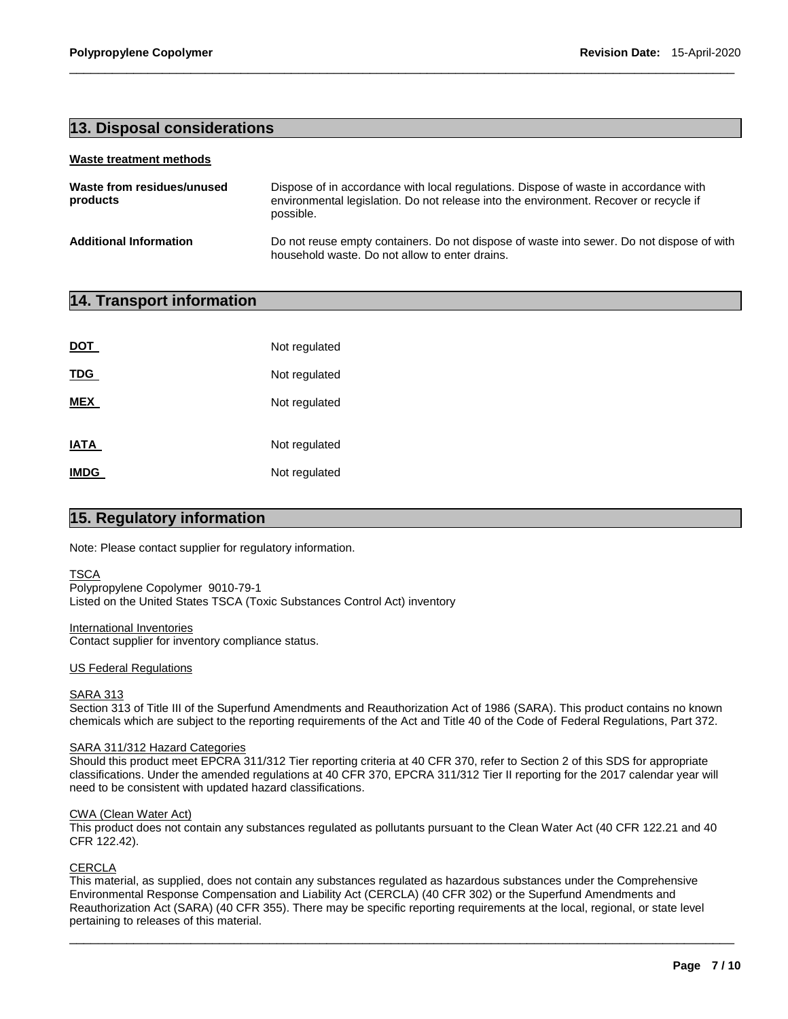# **13. Disposal considerations**

#### **Waste treatment methods**

| Waste from residues/unused<br>products | Dispose of in accordance with local regulations. Dispose of waste in accordance with<br>environmental legislation. Do not release into the environment. Recover or recycle if<br>possible. |  |  |
|----------------------------------------|--------------------------------------------------------------------------------------------------------------------------------------------------------------------------------------------|--|--|
| <b>Additional Information</b>          | Do not reuse empty containers. Do not dispose of waste into sewer. Do not dispose of with<br>household waste. Do not allow to enter drains.                                                |  |  |

\_\_\_\_\_\_\_\_\_\_\_\_\_\_\_\_\_\_\_\_\_\_\_\_\_\_\_\_\_\_\_\_\_\_\_\_\_\_\_\_\_\_\_\_\_\_\_\_\_\_\_\_\_\_\_\_\_\_\_\_\_\_\_\_\_\_\_\_\_\_\_\_\_\_\_\_\_\_\_\_\_\_\_\_\_\_\_\_\_\_\_\_\_

# **14. Transport information**

| <b>DOT</b>  | Not regulated |
|-------------|---------------|
| <b>TDG</b>  | Not regulated |
| <b>MEX</b>  | Not regulated |
| <b>IATA</b> | Not regulated |
| <b>IMDG</b> | Not regulated |

# **15. Regulatory information**

Note: Please contact supplier for regulatory information.

### **TSCA**

Polypropylene Copolymer 9010-79-1 Listed on the United States TSCA (Toxic Substances Control Act) inventory

#### International Inventories

Contact supplier for inventory compliance status.

#### US Federal Regulations

### SARA 313

Section 313 of Title III of the Superfund Amendments and Reauthorization Act of 1986 (SARA). This product contains no known chemicals which are subject to the reporting requirements of the Act and Title 40 of the Code of Federal Regulations, Part 372.

#### SARA 311/312 Hazard Categories

Should this product meet EPCRA 311/312 Tier reporting criteria at 40 CFR 370, refer to Section 2 of this SDS for appropriate classifications. Under the amended regulations at 40 CFR 370, EPCRA 311/312 Tier II reporting for the 2017 calendar year will need to be consistent with updated hazard classifications.

#### CWA (Clean Water Act)

This product does not contain any substances regulated as pollutants pursuant to the Clean Water Act (40 CFR 122.21 and 40 CFR 122.42).

#### **CERCLA**

This material, as supplied, does not contain any substances regulated as hazardous substances under the Comprehensive Environmental Response Compensation and Liability Act (CERCLA) (40 CFR 302) or the Superfund Amendments and Reauthorization Act (SARA) (40 CFR 355). There may be specific reporting requirements at the local, regional, or state level pertaining to releases of this material.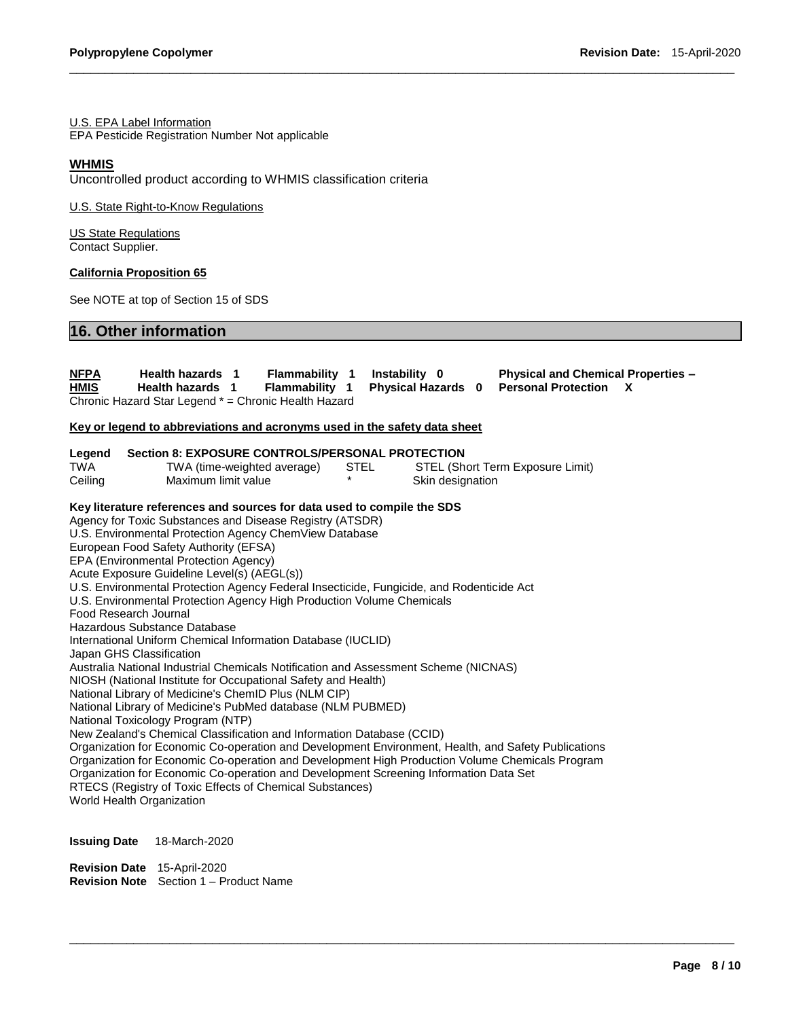### U.S. EPA Label Information

EPA Pesticide Registration Number Not applicable

### **WHMIS**

Uncontrolled product according to WHMIS classification criteria

U.S. State Right-to-Know Regulations

US State Regulations Contact Supplier.

### **California Proposition 65**

See NOTE at top of Section 15 of SDS

# **16. Other information**

| <b>NFPA</b><br>HMIS      | Health hazards 1<br>Health hazards 1                                                                                                                                                                                                                                                 | <b>Flammability 1</b><br>Flammability 1                                                                                                                                                                                                                                                                                                                                                                                                                                                                                                                                                                                                                                                                                                                                                                                                                                                                                                        |      | Instability 0<br><b>Physical Hazards 0</b> | <b>Physical and Chemical Properties -</b><br><b>Personal Protection</b><br>X                                                                                                                           |
|--------------------------|--------------------------------------------------------------------------------------------------------------------------------------------------------------------------------------------------------------------------------------------------------------------------------------|------------------------------------------------------------------------------------------------------------------------------------------------------------------------------------------------------------------------------------------------------------------------------------------------------------------------------------------------------------------------------------------------------------------------------------------------------------------------------------------------------------------------------------------------------------------------------------------------------------------------------------------------------------------------------------------------------------------------------------------------------------------------------------------------------------------------------------------------------------------------------------------------------------------------------------------------|------|--------------------------------------------|--------------------------------------------------------------------------------------------------------------------------------------------------------------------------------------------------------|
|                          |                                                                                                                                                                                                                                                                                      | Chronic Hazard Star Legend * = Chronic Health Hazard                                                                                                                                                                                                                                                                                                                                                                                                                                                                                                                                                                                                                                                                                                                                                                                                                                                                                           |      |                                            |                                                                                                                                                                                                        |
|                          |                                                                                                                                                                                                                                                                                      | Key or legend to abbreviations and acronyms used in the safety data sheet                                                                                                                                                                                                                                                                                                                                                                                                                                                                                                                                                                                                                                                                                                                                                                                                                                                                      |      |                                            |                                                                                                                                                                                                        |
| Legend<br>TWA<br>Ceiling | Maximum limit value                                                                                                                                                                                                                                                                  | Section 8: EXPOSURE CONTROLS/PERSONAL PROTECTION<br>TWA (time-weighted average)                                                                                                                                                                                                                                                                                                                                                                                                                                                                                                                                                                                                                                                                                                                                                                                                                                                                | STEL | Skin designation                           | STEL (Short Term Exposure Limit)                                                                                                                                                                       |
|                          | European Food Safety Authority (EFSA)<br>EPA (Environmental Protection Agency)<br>Acute Exposure Guideline Level(s) (AEGL(s))<br>Food Research Journal<br>Hazardous Substance Database<br>Japan GHS Classification<br>National Toxicology Program (NTP)<br>World Health Organization | Key literature references and sources for data used to compile the SDS<br>Agency for Toxic Substances and Disease Registry (ATSDR)<br>U.S. Environmental Protection Agency ChemView Database<br>U.S. Environmental Protection Agency Federal Insecticide, Fungicide, and Rodenticide Act<br>U.S. Environmental Protection Agency High Production Volume Chemicals<br>International Uniform Chemical Information Database (IUCLID)<br>Australia National Industrial Chemicals Notification and Assessment Scheme (NICNAS)<br>NIOSH (National Institute for Occupational Safety and Health)<br>National Library of Medicine's ChemID Plus (NLM CIP)<br>National Library of Medicine's PubMed database (NLM PUBMED)<br>New Zealand's Chemical Classification and Information Database (CCID)<br>Organization for Economic Co-operation and Development Screening Information Data Set<br>RTECS (Registry of Toxic Effects of Chemical Substances) |      |                                            | Organization for Economic Co-operation and Development Environment, Health, and Safety Publications<br>Organization for Economic Co-operation and Development High Production Volume Chemicals Program |
| <b>Issuing Date</b>      | 18-March-2020                                                                                                                                                                                                                                                                        |                                                                                                                                                                                                                                                                                                                                                                                                                                                                                                                                                                                                                                                                                                                                                                                                                                                                                                                                                |      |                                            |                                                                                                                                                                                                        |

\_\_\_\_\_\_\_\_\_\_\_\_\_\_\_\_\_\_\_\_\_\_\_\_\_\_\_\_\_\_\_\_\_\_\_\_\_\_\_\_\_\_\_\_\_\_\_\_\_\_\_\_\_\_\_\_\_\_\_\_\_\_\_\_\_\_\_\_\_\_\_\_\_\_\_\_\_\_\_\_\_\_\_\_\_\_\_\_\_\_\_\_\_

\_\_\_\_\_\_\_\_\_\_\_\_\_\_\_\_\_\_\_\_\_\_\_\_\_\_\_\_\_\_\_\_\_\_\_\_\_\_\_\_\_\_\_\_\_\_\_\_\_\_\_\_\_\_\_\_\_\_\_\_\_\_\_\_\_\_\_\_\_\_\_\_\_\_\_\_\_\_\_\_\_\_\_\_\_\_\_\_\_\_\_\_\_

**Revision Date** 15-April-2020 **Revision Note** Section 1 – Product Name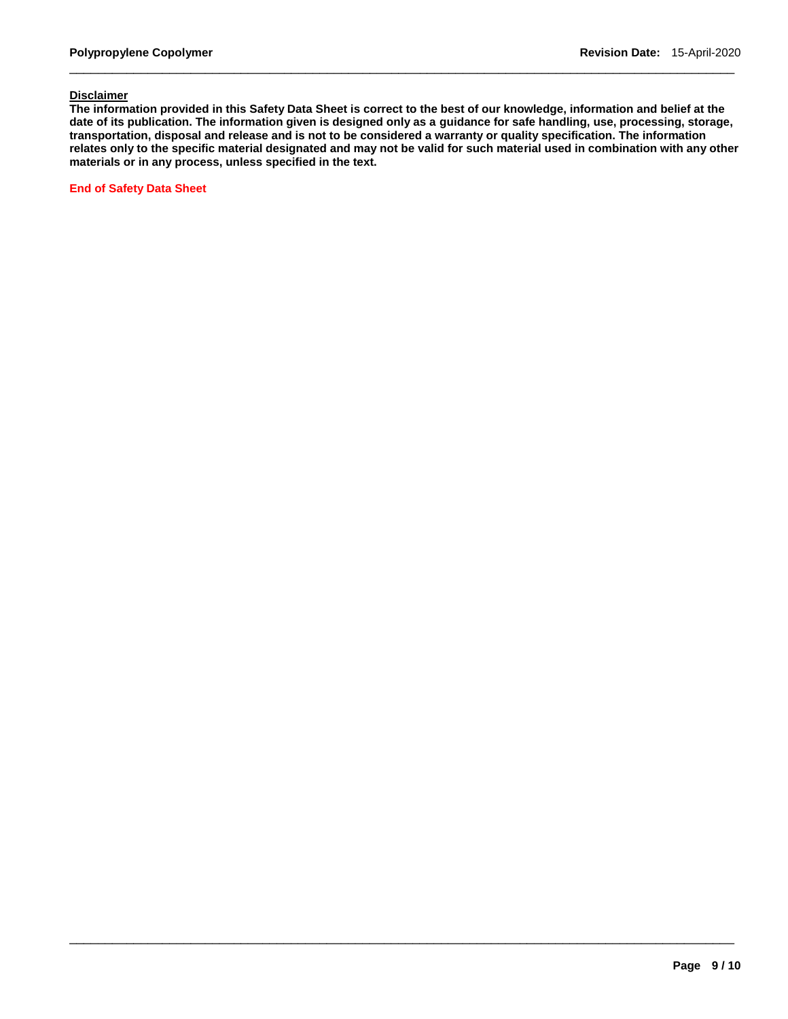### **Disclaimer**

**The information provided in this Safety Data Sheet is correct to the best of our knowledge, information and belief at the date of its publication. The information given is designed only as a guidance for safe handling, use, processing, storage, transportation, disposal and release and is not to be considered a warranty or quality specification. The information relates only to the specific material designated and may not be valid for such material used in combination with any other materials or in any process, unless specified in the text.** 

\_\_\_\_\_\_\_\_\_\_\_\_\_\_\_\_\_\_\_\_\_\_\_\_\_\_\_\_\_\_\_\_\_\_\_\_\_\_\_\_\_\_\_\_\_\_\_\_\_\_\_\_\_\_\_\_\_\_\_\_\_\_\_\_\_\_\_\_\_\_\_\_\_\_\_\_\_\_\_\_\_\_\_\_\_\_\_\_\_\_\_\_\_

\_\_\_\_\_\_\_\_\_\_\_\_\_\_\_\_\_\_\_\_\_\_\_\_\_\_\_\_\_\_\_\_\_\_\_\_\_\_\_\_\_\_\_\_\_\_\_\_\_\_\_\_\_\_\_\_\_\_\_\_\_\_\_\_\_\_\_\_\_\_\_\_\_\_\_\_\_\_\_\_\_\_\_\_\_\_\_\_\_\_\_\_\_

**End of Safety Data Sheet**